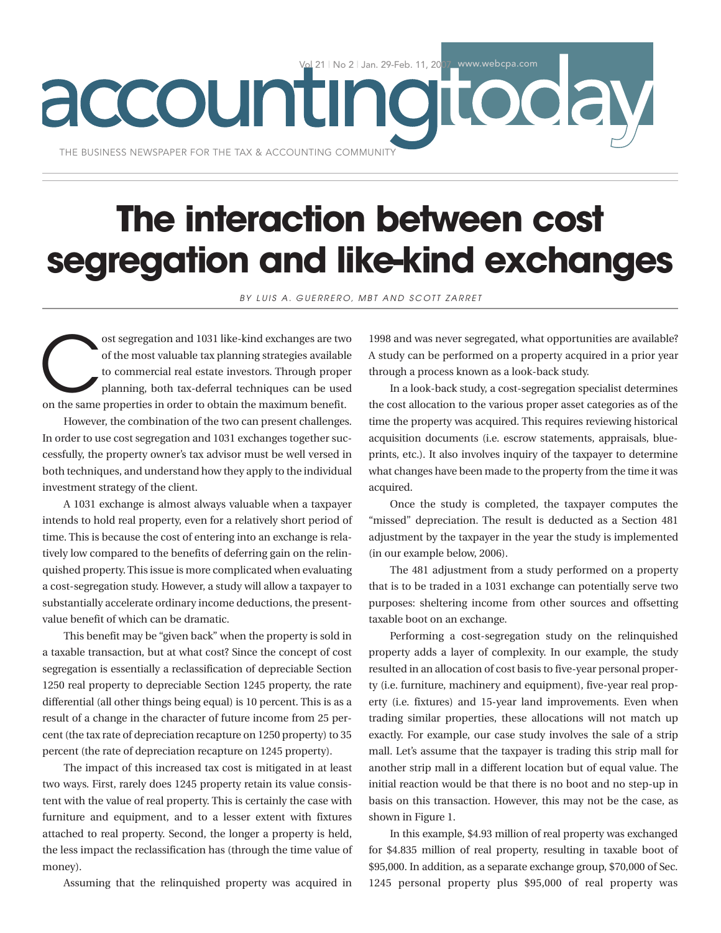| No 2 | Jan. 29-Feb. 11, 2007 www.webcpa.com accountingtoday THE BUSINESS NEWSPAPER FOR THE TAX & ACCOUNTING COMMUNITY

# **The interaction between cost segregation and like-kind exchanges**

*BY LUIS A. GUERRERO, MBT AND SCOTT ZARRET*

ost segregation and 1031 like-kind exchanges are two<br>of the most valuable tax planning strategies available<br>to commercial real estate investors. Through proper<br>planning, both tax-deferral techniques can be used<br>on the same of the most valuable tax planning strategies available to commercial real estate investors. Through proper planning, both tax-deferral techniques can be used on the same properties in order to obtain the maximum benefit.

However, the combination of the two can present challenges. In order to use cost segregation and 1031 exchanges together successfully, the property owner's tax advisor must be well versed in both techniques, and understand how they apply to the individual investment strategy of the client.

A 1031 exchange is almost always valuable when a taxpayer intends to hold real property, even for a relatively short period of time. This is because the cost of entering into an exchange is relatively low compared to the benefits of deferring gain on the relinquished property. This issue is more complicated when evaluating a cost-segregation study. However, a study will allow a taxpayer to substantially accelerate ordinary income deductions, the presentvalue benefit of which can be dramatic.

This benefit may be "given back" when the property is sold in a taxable transaction, but at what cost? Since the concept of cost segregation is essentially a reclassification of depreciable Section 1250 real property to depreciable Section 1245 property, the rate differential (all other things being equal) is 10 percent. This is as a result of a change in the character of future income from 25 percent (the tax rate of depreciation recapture on 1250 property) to 35 percent (the rate of depreciation recapture on 1245 property).

The impact of this increased tax cost is mitigated in at least two ways. First, rarely does 1245 property retain its value consistent with the value of real property. This is certainly the case with furniture and equipment, and to a lesser extent with fixtures attached to real property. Second, the longer a property is held, the less impact the reclassification has (through the time value of money).

Assuming that the relinquished property was acquired in

1998 and was never segregated, what opportunities are available? A study can be performed on a property acquired in a prior year through a process known as a look-back study.

In a look-back study, a cost-segregation specialist determines the cost allocation to the various proper asset categories as of the time the property was acquired. This requires reviewing historical acquisition documents (i.e. escrow statements, appraisals, blueprints, etc.). It also involves inquiry of the taxpayer to determine what changes have been made to the property from the time it was acquired.

Once the study is completed, the taxpayer computes the "missed" depreciation. The result is deducted as a Section 481 adjustment by the taxpayer in the year the study is implemented (in our example below, 2006).

The 481 adjustment from a study performed on a property that is to be traded in a 1031 exchange can potentially serve two purposes: sheltering income from other sources and offsetting taxable boot on an exchange.

Performing a cost-segregation study on the relinquished property adds a layer of complexity. In our example, the study resulted in an allocation of cost basis to five-year personal property (i.e. furniture, machinery and equipment), five-year real property (i.e. fixtures) and 15-year land improvements. Even when trading similar properties, these allocations will not match up exactly. For example, our case study involves the sale of a strip mall. Let's assume that the taxpayer is trading this strip mall for another strip mall in a different location but of equal value. The initial reaction would be that there is no boot and no step-up in basis on this transaction. However, this may not be the case, as shown in Figure 1.

In this example, \$4.93 million of real property was exchanged for \$4.835 million of real property, resulting in taxable boot of \$95,000. In addition, as a separate exchange group, \$70,000 of Sec. 1245 personal property plus \$95,000 of real property was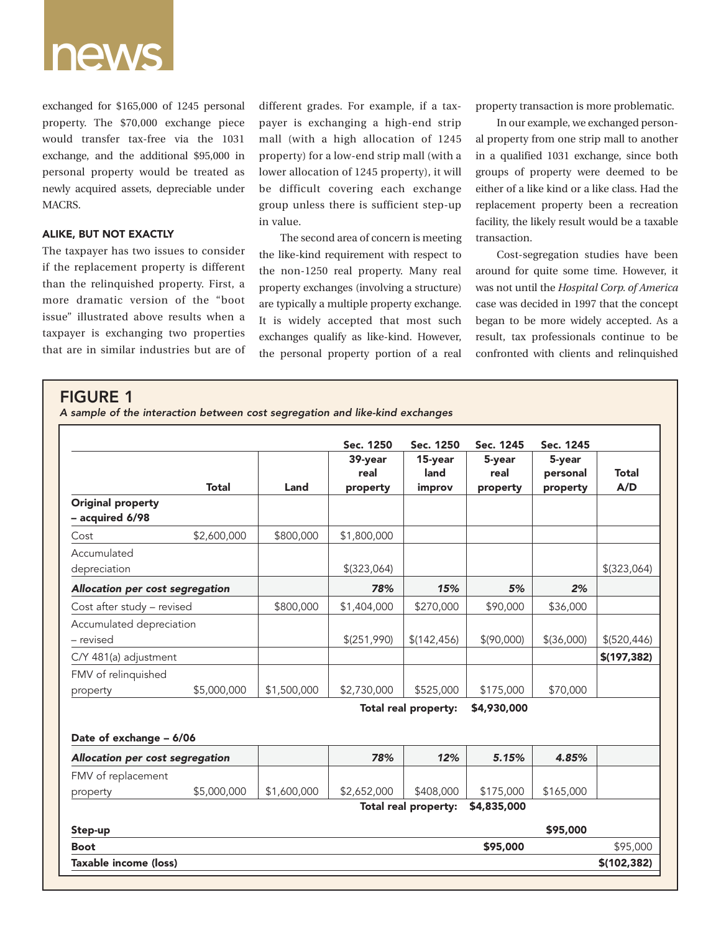

exchanged for \$165,000 of 1245 personal property. The \$70,000 exchange piece would transfer tax-free via the 1031 exchange, and the additional \$95,000 in personal property would be treated as newly acquired assets, depreciable under MACRS.

## **ALIKE, BUT NOT EXACTLY**

The taxpayer has two issues to consider if the replacement property is different than the relinquished property. First, a more dramatic version of the "boot issue" illustrated above results when a taxpayer is exchanging two properties that are in similar industries but are of different grades. For example, if a taxpayer is exchanging a high-end strip mall (with a high allocation of 1245 property) for a low-end strip mall (with a lower allocation of 1245 property), it will be difficult covering each exchange group unless there is sufficient step-up in value.

The second area of concern is meeting the like-kind requirement with respect to the non-1250 real property. Many real property exchanges (involving a structure) are typically a multiple property exchange. It is widely accepted that most such exchanges qualify as like-kind. However, the personal property portion of a real

property transaction is more problematic.

In our example, we exchanged personal property from one strip mall to another in a qualified 1031 exchange, since both groups of property were deemed to be either of a like kind or a like class. Had the replacement property been a recreation facility, the likely result would be a taxable transaction.

Cost-segregation studies have been around for quite some time. However, it was not until the *Hospital Corp. of America* case was decided in 1997 that the concept began to be more widely accepted. As a result, tax professionals continue to be confronted with clients and relinquished

# **FIGURE 1**

*A sample of the interaction between cost segregation and like-kind exchanges*

|                                             |              |             | Sec. 1250     | Sec. 1250            | Sec. 1245   | Sec. 1245    |               |
|---------------------------------------------|--------------|-------------|---------------|----------------------|-------------|--------------|---------------|
|                                             |              |             | 39-year       | 15-year              | 5-year      | 5-year       |               |
|                                             |              |             | real          | land                 | real        | personal     | <b>Total</b>  |
|                                             | <b>Total</b> | Land        | property      | improv               | property    | property     | A/D           |
| <b>Original property</b><br>- acquired 6/98 |              |             |               |                      |             |              |               |
| Cost                                        | \$2,600,000  | \$800,000   | \$1,800,000   |                      |             |              |               |
| Accumulated                                 |              |             |               |                      |             |              |               |
| depreciation                                |              |             | $$$ (323,064) |                      |             |              | $$$ (323,064) |
| Allocation per cost segregation             |              |             | 78%           | 15%                  | 5%          | 2%           |               |
| Cost after study - revised                  |              | \$800,000   | \$1,404,000   | \$270,000            | \$90,000    | \$36,000     |               |
| Accumulated depreciation                    |              |             |               |                      |             |              |               |
| - revised                                   |              |             | \$(251,990)   | \$(142, 456)         | \$(90,000)  | $$$ (36,000) | \$ (520, 446) |
| C/Y 481(a) adjustment                       |              |             |               |                      |             |              | \$(197, 382)  |
| FMV of relinquished                         |              |             |               |                      |             |              |               |
| property                                    | \$5,000,000  | \$1,500,000 | \$2,730,000   | \$525,000            | \$175,000   | \$70,000     |               |
|                                             |              |             |               | Total real property: | \$4,930,000 |              |               |
| Date of exchange - 6/06                     |              |             |               |                      |             |              |               |
| Allocation per cost segregation             |              |             | 78%           | 12%                  | 5.15%       | 4.85%        |               |
| FMV of replacement                          |              |             |               |                      |             |              |               |
| property                                    | \$5,000,000  | \$1,600,000 | \$2,652,000   | \$408,000            | \$175,000   | \$165,000    |               |
|                                             |              |             |               | Total real property: | \$4,835,000 |              |               |
| Step-up                                     |              |             |               |                      |             | \$95,000     |               |
| <b>Boot</b>                                 |              |             |               |                      | \$95,000    |              | \$95,000      |
| Taxable income (loss)                       |              |             |               |                      |             |              | \$(102, 382)  |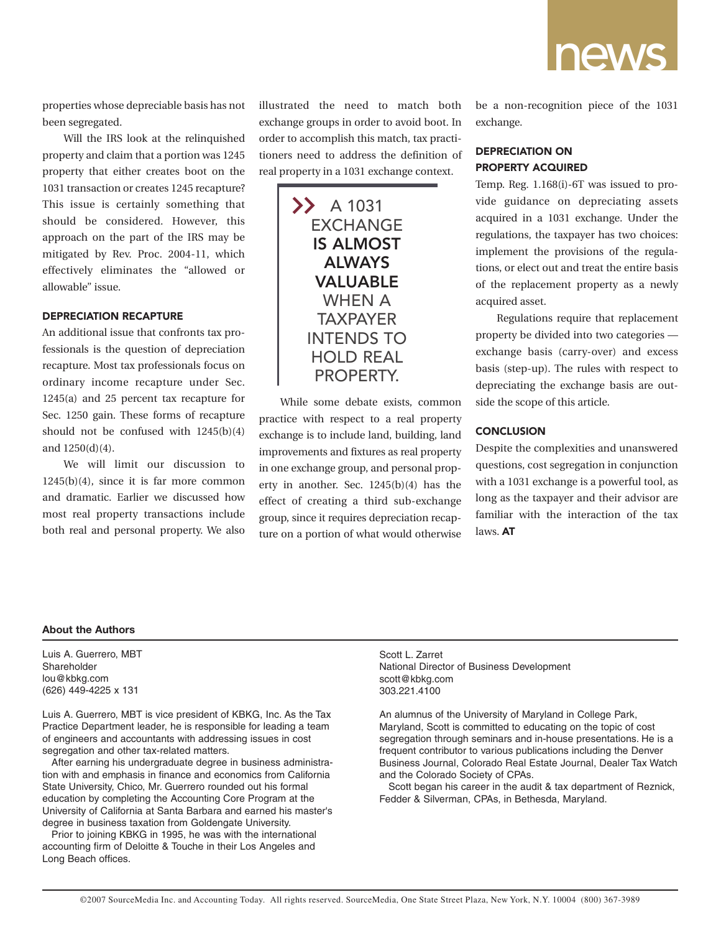

properties whose depreciable basis has not been segregated.

Will the IRS look at the relinquished property and claim that a portion was 1245 property that either creates boot on the 1031 transaction or creates 1245 recapture? This issue is certainly something that should be considered. However, this approach on the part of the IRS may be mitigated by Rev. Proc. 2004-11, which effectively eliminates the "allowed or allowable" issue.

### **DEPRECIATION RECAPTURE**

An additional issue that confronts tax professionals is the question of depreciation recapture. Most tax professionals focus on ordinary income recapture under Sec. 1245(a) and 25 percent tax recapture for Sec. 1250 gain. These forms of recapture should not be confused with 1245(b)(4) and 1250(d)(4).

We will limit our discussion to 1245(b)(4), since it is far more common and dramatic. Earlier we discussed how most real property transactions include both real and personal property. We also

illustrated the need to match both exchange groups in order to avoid boot. In order to accomplish this match, tax practitioners need to address the definition of real property in a 1031 exchange context.



While some debate exists, common practice with respect to a real property exchange is to include land, building, land improvements and fixtures as real property in one exchange group, and personal property in another. Sec. 1245(b)(4) has the effect of creating a third sub-exchange group, since it requires depreciation recapture on a portion of what would otherwise be a non-recognition piece of the 1031 exchange.

# **DEPRECIATION ON PROPERTY ACQUIRED**

Temp. Reg. 1.168(i)-6T was issued to provide guidance on depreciating assets acquired in a 1031 exchange. Under the regulations, the taxpayer has two choices: implement the provisions of the regulations, or elect out and treat the entire basis of the replacement property as a newly acquired asset.

Regulations require that replacement property be divided into two categories exchange basis (carry-over) and excess basis (step-up). The rules with respect to depreciating the exchange basis are outside the scope of this article.

# **CONCLUSION**

Despite the complexities and unanswered questions, cost segregation in conjunction with a 1031 exchange is a powerful tool, as long as the taxpayer and their advisor are familiar with the interaction of the tax laws. **AT**

#### **About the Authors**

Luis A. Guerrero, MBT Shareholder lou@kbkg.com (626) 449-4225 x 131

Luis A. Guerrero, MBT is vice president of KBKG, Inc. As the Tax Practice Department leader, he is responsible for leading a team of engineers and accountants with addressing issues in cost segregation and other tax-related matters.

After earning his undergraduate degree in business administration with and emphasis in finance and economics from California State University, Chico, Mr. Guerrero rounded out his formal education by completing the Accounting Core Program at the University of California at Santa Barbara and earned his master's degree in business taxation from Goldengate University.

Prior to joining KBKG in 1995, he was with the international accounting firm of Deloitte & Touche in their Los Angeles and Long Beach offices.

Scott L. Zarret National Director of Business Development scott@kbkg.com 303.221.4100

An alumnus of the University of Maryland in College Park, Maryland, Scott is committed to educating on the topic of cost segregation through seminars and in-house presentations. He is a frequent contributor to various publications including the Denver Business Journal, Colorado Real Estate Journal, Dealer Tax Watch and the Colorado Society of CPAs.

Scott began his career in the audit & tax department of Reznick, Fedder & Silverman, CPAs, in Bethesda, Maryland.